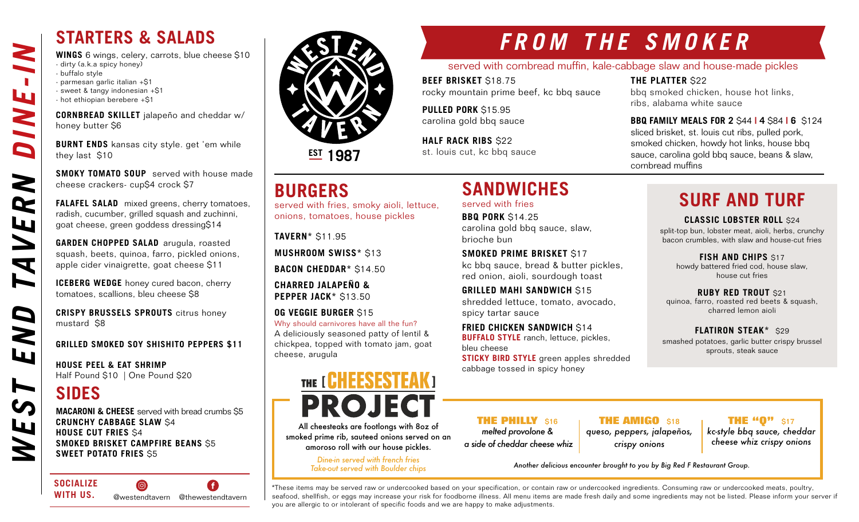**WINGS** 6 wings, celery, carrots, blue cheese \$10 - dirty (a.k.a spicy honey)

- buffalo style
- parmesan garlic italian +\$1
- sweet & tangy indonesian +\$1
- hot ethiopian berebere +\$1

**CORNBREAD SKILLET** jalapeño and cheddar w/ honey butter \$6

**BURNT ENDS** kansas city style. get 'em while they last \$10

**SMOKY TOMATO SOUP** served with house made cheese crackers- cup\$4 crock \$7

**FALAFEL SALAD** mixed greens, cherry tomatoes, radish, cucumber, grilled squash and zuchinni, goat cheese, green goddess dressing\$14

**GARDEN CHOPPED SALAD** arugula, roasted squash, beets, quinoa, farro, pickled onions, apple cider vinaigrette, goat cheese \$11

**ICEBERG WEDGE** honey cured bacon, cherry tomatoes, scallions, bleu cheese \$8

**CRISPY BRUSSELS SPROUTS** citrus honey mustard \$8

### **GRILLED SMOKED SOY SHISHITO PEPPERS \$11**

**HOUSE PEEL & EAT SHRIMP** Half Pound \$10 | One Pound \$20

### **SIDES**

**MACARONI & CHEESE** served with bread crumbs \$5 **CRUNCHY CABBAGE SLAW** \$4 **HOUSE CUT FRIES** \$4 **SMOKED BRISKET CAMPFIRE BEANS** \$5 **SWEET POTATO FRIES** \$5

**SOCIALIZE**   $\circledcirc$ G **WITH US.** @westendtavern @thewestendtavern



**EST 1987**

### **BURGERS**

served with fries, smoky aioli, lettuce, onions, tomatoes, house pickles

**TAVERN\*** \$11.95

**MUSHROOM SWISS\*** \$13

**BACON CHEDDAR\*** \$14.50

**CHARRED JALAPEÑO & PEPPER JACK\*** \$13.50

**OG VEGGIE BURGER** \$15 Why should carnivores have all the fun? A deliciously seasoned patty of lentil & chickpea, topped with tomato jam, goat cheese, arugula

# THE [ CHEESESTEAK ] **PROJECT**

All cheesteaks are footlongs with 8oz of smoked prime rib, sauteed onions served on an amoroso roll with our house pickles.

> *Dine-in served with french fries Take-out served with Boulder chips*

# *FROM THE SMOKER*

served with cornbread muffin, kale-cabbage slaw and house-made pickles

**BEEF BRISKET** \$18.75 rocky mountain prime beef, kc bbq sauce

**SANDWICHES** 

carolina gold bbq sauce, slaw,

**SMOKED PRIME BRISKET** \$17

**FRIED CHICKEN SANDWICH S14 BUFFALO STYLE** ranch, lettuce, pickles,

cabbage tossed in spicy honey

kc bbq sauce, bread & butter pickles, red onion, aioli, sourdough toast **GRILLED MAHI SANDWICH** \$15 shredded lettuce, tomato, avocado,

served with fries **BBQ PORK** \$14.25

spicy tartar sauce

brioche bun

**PULLED PORK** \$15.95 carolina gold bbq sauce

**HALF RACK RIBS** \$22 st. louis cut, kc bbq sauce

### **THE PLATTER** \$22

bbq smoked chicken, house hot links, ribs, alabama white sauce

**BBQ FAMILY MEALS FOR 2** \$44 **| 4** \$84 **| 6** \$124

sliced brisket, st. louis cut ribs, pulled pork, smoked chicken, howdy hot links, house bbq sauce, carolina gold bbq sauce, beans & slaw, cornbread muffins

## **SURF AND TURF**

**CLASSIC LOBSTER ROLL** \$24 split-top bun, lobster meat, aioli, herbs, crunchy

bacon crumbles, with slaw and house-cut fries

**FISH AND CHIPS \$17** howdy battered fried cod, house slaw, house cut fries

**RUBY RED TROUT** \$21 quinoa, farro, roasted red beets & squash, charred lemon aioli

**FLATIRON STEAK\*** \$29 smashed potatoes, garlic butter crispy brussel sprouts, steak sauce

**THE PHILLY** \$16 *melted provolone &* 

**THE AMIGO** \$18 *queso, peppers, jalapeños,* 

**THE "0"** \$17 *kc-style bbq sauce, cheddar cheese whiz crispy onions*

*Another delicious encounter brought to you by Big Red F Restaurant Group.*

\*These items may be served raw or undercooked based on your specification, or contain raw or undercooked ingredients. Consuming raw or undercooked meats, poultry, seafood, shellfish, or eggs may increase your risk for foodborne illness. All menu items are made fresh daily and some ingredients may not be listed. Please inform your server if you are allergic to or intolerant of specific foods and we are happy to make adjustments.

bleu cheese

 *a side of cheddar cheese whiz*

**STICKY BIRD STYLE** green apples shredded

*crispy onions*